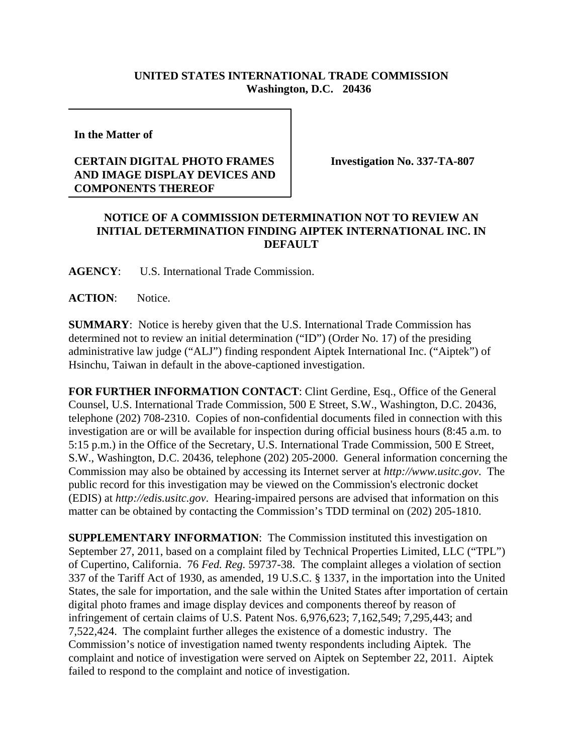## **UNITED STATES INTERNATIONAL TRADE COMMISSION Washington, D.C. 20436**

**In the Matter of** 

## **CERTAIN DIGITAL PHOTO FRAMES AND IMAGE DISPLAY DEVICES AND COMPONENTS THEREOF**

**Investigation No. 337-TA-807**

## **NOTICE OF A COMMISSION DETERMINATION NOT TO REVIEW AN INITIAL DETERMINATION FINDING AIPTEK INTERNATIONAL INC. IN DEFAULT**

**AGENCY**: U.S. International Trade Commission.

ACTION: Notice.

**SUMMARY**: Notice is hereby given that the U.S. International Trade Commission has determined not to review an initial determination ("ID") (Order No. 17) of the presiding administrative law judge ("ALJ") finding respondent Aiptek International Inc. ("Aiptek") of Hsinchu, Taiwan in default in the above-captioned investigation.

**FOR FURTHER INFORMATION CONTACT**: Clint Gerdine, Esq., Office of the General Counsel, U.S. International Trade Commission, 500 E Street, S.W., Washington, D.C. 20436, telephone (202) 708-2310. Copies of non-confidential documents filed in connection with this investigation are or will be available for inspection during official business hours (8:45 a.m. to 5:15 p.m.) in the Office of the Secretary, U.S. International Trade Commission, 500 E Street, S.W., Washington, D.C. 20436, telephone (202) 205-2000. General information concerning the Commission may also be obtained by accessing its Internet server at *http://www.usitc.gov*. The public record for this investigation may be viewed on the Commission's electronic docket (EDIS) at *http://edis.usitc.gov*. Hearing-impaired persons are advised that information on this matter can be obtained by contacting the Commission's TDD terminal on (202) 205-1810.

**SUPPLEMENTARY INFORMATION:** The Commission instituted this investigation on September 27, 2011, based on a complaint filed by Technical Properties Limited, LLC ("TPL") of Cupertino, California. 76 *Fed. Reg.* 59737-38. The complaint alleges a violation of section 337 of the Tariff Act of 1930, as amended, 19 U.S.C. § 1337, in the importation into the United States, the sale for importation, and the sale within the United States after importation of certain digital photo frames and image display devices and components thereof by reason of infringement of certain claims of U.S. Patent Nos. 6,976,623; 7,162,549; 7,295,443; and 7,522,424. The complaint further alleges the existence of a domestic industry. The Commission's notice of investigation named twenty respondents including Aiptek. The complaint and notice of investigation were served on Aiptek on September 22, 2011. Aiptek failed to respond to the complaint and notice of investigation.